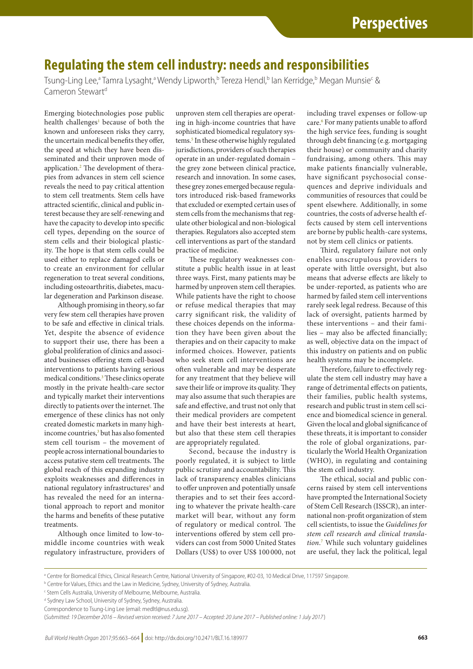## **Regulating the stem cell industry: needs and responsibilities**

Tsung-Ling Lee,<sup>a</sup> Tamra Lysaght,<sup>a</sup> Wendy Lipworth,<sup>b</sup> Tereza Hendl,<sup>b</sup> lan Kerridge,<sup>b</sup> Megan Munsie<sup>c</sup> & Cameron Stewart<sup>d</sup>

Emerging biotechnologies pose public health challenges<sup>[1](#page-1-0)</sup> because of both the known and unforeseen risks they carry, the uncertain medical benefits they offer, the speed at which they have been disseminated and their unproven mode of application.<sup>[2](#page-1-1)</sup> The development of therapies from advances in stem cell science reveals the need to pay critical attention to stem cell treatments. Stem cells have attracted scientific, clinical and public interest because they are self-renewing and have the capacity to develop into specific cell types, depending on the source of stem cells and their biological plasticity. The hope is that stem cells could be used either to replace damaged cells or to create an environment for cellular regeneration to treat several conditions, including osteoarthritis, diabetes, macular degeneration and Parkinson disease.

Although promising in theory, so far very few stem cell therapies have proven to be safe and effective in clinical trials. Yet, despite the absence of evidence to support their use, there has been a global proliferation of clinics and associated businesses offering stem cell-based interventions to patients having serious medical conditions.[3](#page-1-2) These clinics operate mostly in the private health-care sector and typically market their interventions directly to patients over the internet. The emergence of these clinics has not only created domestic markets in many high-income countries,<sup>[3](#page-1-2)</sup> but has also fomented stem cell tourism – the movement of people across international boundaries to access putative stem cell treatments. The global reach of this expanding industry exploits weaknesses and differences in national regulatory infrastructures<sup>[4](#page-1-3)</sup> and has revealed the need for an international approach to report and monitor the harms and benefits of these putative treatments.

Although once limited to low-tomiddle income countries with weak regulatory infrastructure, providers of unproven stem cell therapies are operating in high-income countries that have sophisticated biomedical regulatory sys-tems.<sup>[5](#page-1-4)</sup> In these otherwise highly regulated jurisdictions, providers of such therapies operate in an under-regulated domain – the grey zone between clinical practice, research and innovation. In some cases, these grey zones emerged because regulators introduced risk-based frameworks that excluded or exempted certain uses of stem cells from the mechanisms that regulate other biological and non-biological therapies. Regulators also accepted stem cell interventions as part of the standard practice of medicine.

These regulatory weaknesses constitute a public health issue in at least three ways. First, many patients may be harmed by unproven stem cell therapies. While patients have the right to choose or refuse medical therapies that may carry significant risk, the validity of these choices depends on the information they have been given about the therapies and on their capacity to make informed choices. However, patients who seek stem cell interventions are often vulnerable and may be desperate for any treatment that they believe will save their life or improve its quality. They may also assume that such therapies are safe and effective, and trust not only that their medical providers are competent and have their best interests at heart, but also that these stem cell therapies are appropriately regulated.

Second, because the industry is poorly regulated, it is subject to little public scrutiny and accountability. This lack of transparency enables clinicians to offer unproven and potentially unsafe therapies and to set their fees according to whatever the private health-care market will bear, without any form of regulatory or medical control. The interventions offered by stem cell providers can cost from 5000 United States Dollars (US\$) to over US\$ 100 000, not including travel expenses or follow-up care.<sup>[6](#page-1-5)</sup> For many patients unable to afford the high service fees, funding is sought through debt financing (e.g. mortgaging their house) or community and charity fundraising, among others. This may make patients financially vulnerable, have significant psychosocial consequences and deprive individuals and communities of resources that could be spent elsewhere. Additionally, in some countries, the costs of adverse health effects caused by stem cell interventions are borne by public health-care systems, not by stem cell clinics or patients.

Third, regulatory failure not only enables unscrupulous providers to operate with little oversight, but also means that adverse effects are likely to be under-reported, as patients who are harmed by failed stem cell interventions rarely seek legal redress. Because of this lack of oversight, patients harmed by these interventions – and their families – may also be affected financially; as well, objective data on the impact of this industry on patients and on public health systems may be incomplete.

Therefore, failure to effectively regulate the stem cell industry may have a range of detrimental effects on patients, their families, public health systems, research and public trust in stem cell science and biomedical science in general. Given the local and global significance of these threats, it is important to consider the role of global organizations, particularly the World Health Organization (WHO), in regulating and containing the stem cell industry.

The ethical, social and public concerns raised by stem cell interventions have prompted the International Society of Stem Cell Research (ISSCR), an international non-profit organization of stem cell scientists, to issue the *Guidelines for stem cell research and clinical translation*. [7](#page-1-6) While such voluntary guidelines are useful, they lack the political, legal

<sup>a</sup> Centre for Biomedical Ethics, Clinical Research Centre, National University of Singapore, #02-03, 10 Medical Drive, 117597 Singapore.

<sup>d</sup> Sydney Law School, University of Sydney, Sydney, Australia.

**b Centre for Values, Ethics and the Law in Medicine, Sydney, University of Sydney, Australia**.

c Stem Cells Australia, University of Melbourne, Melbourne, Australia.

Correspondence to Tsung-Ling Lee (email: medltl@nus.edu.sg).

<sup>(</sup>*Submitted: 19 December 2016 – Revised version received: 7 June 2017 – Accepted: 20 June 2017 – Published online: 1 July 2017* )